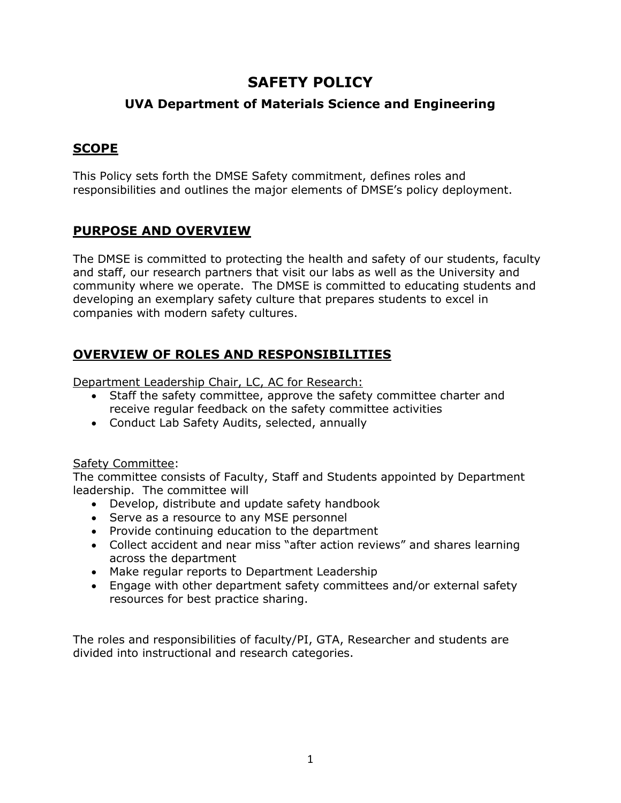# **SAFETY POLICY**

# **UVA Department of Materials Science and Engineering**

### **SCOPE**

This Policy sets forth the DMSE Safety commitment, defines roles and responsibilities and outlines the major elements of DMSE's policy deployment.

### **PURPOSE AND OVERVIEW**

The DMSE is committed to protecting the health and safety of our students, faculty and staff, our research partners that visit our labs as well as the University and community where we operate. The DMSE is committed to educating students and developing an exemplary safety culture that prepares students to excel in companies with modern safety cultures.

### **OVERVIEW OF ROLES AND RESPONSIBILITIES**

Department Leadership Chair, LC, AC for Research:

- Staff the safety committee, approve the safety committee charter and receive regular feedback on the safety committee activities
- Conduct Lab Safety Audits, selected, annually

#### Safety Committee:

The committee consists of Faculty, Staff and Students appointed by Department leadership. The committee will

- Develop, distribute and update safety handbook
- Serve as a resource to any MSE personnel
- Provide continuing education to the department
- Collect accident and near miss "after action reviews" and shares learning across the department
- Make regular reports to Department Leadership
- Engage with other department safety committees and/or external safety resources for best practice sharing.

The roles and responsibilities of faculty/PI, GTA, Researcher and students are divided into instructional and research categories.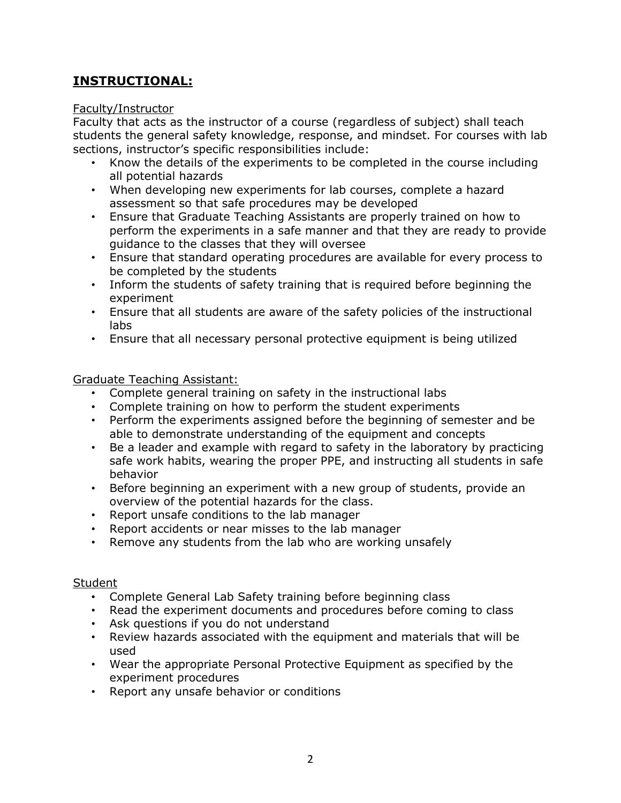# **INSTRUCTIONAL:**

#### Faculty/Instructor

Faculty that acts as the instructor of a course (regardless of subject) shall teach students the general safety knowledge, response, and mindset. For courses with lab sections, instructor's specific responsibilities include:

- Know the details of the experiments to be completed in the course including all potential hazards
- When developing new experiments for lab courses, complete a hazard assessment so that safe procedures may be developed
- Ensure that Graduate Teaching Assistants are properly trained on how to perform the experiments in a safe manner and that they are ready to provide guidance to the classes that they will oversee
- Ensure that standard operating procedures are available for every process to be completed by the students
- Inform the students of safety training that is required before beginning the experiment
- Ensure that all students are aware of the safety policies of the instructional labs
- Ensure that all necessary personal protective equipment is being utilized

#### Graduate Teaching Assistant:

- Complete general training on safety in the instructional labs
- Complete training on how to perform the student experiments
- Perform the experiments assigned before the beginning of semester and be able to demonstrate understanding of the equipment and concepts
- Be a leader and example with regard to safety in the laboratory by practicing safe work habits, wearing the proper PPE, and instructing all students in safe behavior
- Before beginning an experiment with a new group of students, provide an overview of the potential hazards for the class.
- Report unsafe conditions to the lab manager
- Report accidents or near misses to the lab manager
- Remove any students from the lab who are working unsafely

#### Student

- Complete General Lab Safety training before beginning class
- Read the experiment documents and procedures before coming to class
- Ask questions if you do not understand
- Review hazards associated with the equipment and materials that will be used
- Wear the appropriate Personal Protective Equipment as specified by the experiment procedures
- Report any unsafe behavior or conditions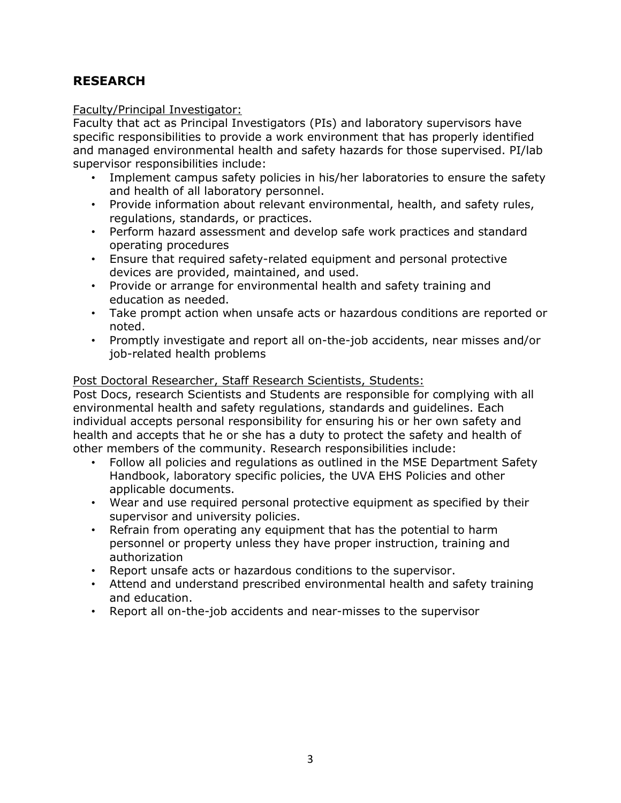# **RESEARCH**

#### Faculty/Principal Investigator:

Faculty that act as Principal Investigators (PIs) and laboratory supervisors have specific responsibilities to provide a work environment that has properly identified and managed environmental health and safety hazards for those supervised. PI/lab supervisor responsibilities include:

- Implement campus safety policies in his/her laboratories to ensure the safety and health of all laboratory personnel.
- Provide information about relevant environmental, health, and safety rules, regulations, standards, or practices.
- Perform hazard assessment and develop safe work practices and standard operating procedures
- Ensure that required safety-related equipment and personal protective devices are provided, maintained, and used.
- Provide or arrange for environmental health and safety training and education as needed.
- Take prompt action when unsafe acts or hazardous conditions are reported or noted.
- Promptly investigate and report all on-the-job accidents, near misses and/or job-related health problems

#### Post Doctoral Researcher, Staff Research Scientists, Students:

Post Docs, research Scientists and Students are responsible for complying with all environmental health and safety regulations, standards and guidelines. Each individual accepts personal responsibility for ensuring his or her own safety and health and accepts that he or she has a duty to protect the safety and health of other members of the community. Research responsibilities include:

- Follow all policies and regulations as outlined in the MSE Department Safety Handbook, laboratory specific policies, the UVA EHS Policies and other applicable documents.
- Wear and use required personal protective equipment as specified by their supervisor and university policies.
- Refrain from operating any equipment that has the potential to harm personnel or property unless they have proper instruction, training and authorization
- Report unsafe acts or hazardous conditions to the supervisor.
- Attend and understand prescribed environmental health and safety training and education.
- Report all on-the-job accidents and near-misses to the supervisor